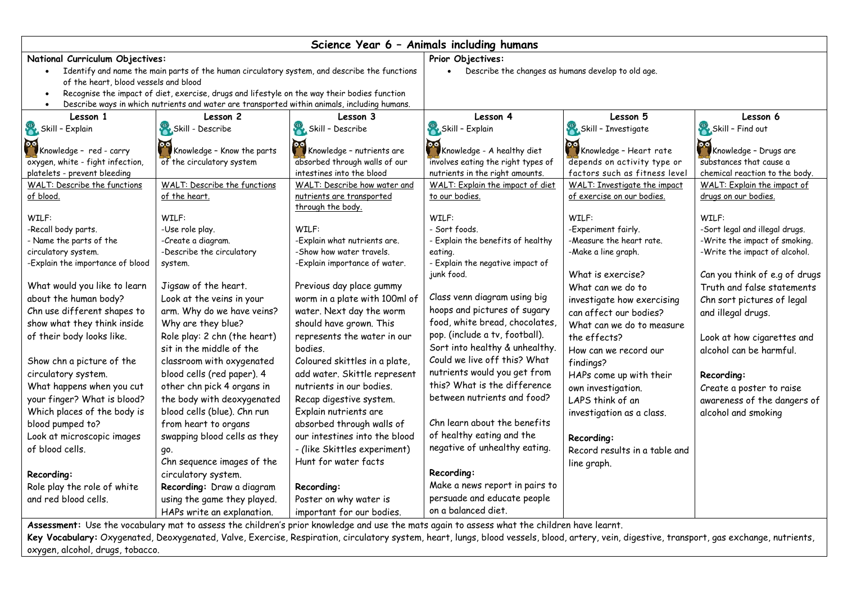| Science Year 6 - Animals including humans                                                    |                                                                                                                                                          |                                                           |                                                                     |                                                               |                                                     |  |
|----------------------------------------------------------------------------------------------|----------------------------------------------------------------------------------------------------------------------------------------------------------|-----------------------------------------------------------|---------------------------------------------------------------------|---------------------------------------------------------------|-----------------------------------------------------|--|
| National Curriculum Objectives:                                                              |                                                                                                                                                          |                                                           | Prior Objectives:                                                   |                                                               |                                                     |  |
| Identify and name the main parts of the human circulatory system, and describe the functions |                                                                                                                                                          |                                                           | Describe the changes as humans develop to old age.                  |                                                               |                                                     |  |
| of the heart, blood vessels and blood                                                        |                                                                                                                                                          |                                                           |                                                                     |                                                               |                                                     |  |
| Recognise the impact of diet, exercise, drugs and lifestyle on the way their bodies function |                                                                                                                                                          |                                                           |                                                                     |                                                               |                                                     |  |
| Describe ways in which nutrients and water are transported within animals, including humans. |                                                                                                                                                          |                                                           |                                                                     |                                                               |                                                     |  |
| Lesson 1                                                                                     | Lesson 2                                                                                                                                                 | Lesson 3                                                  | Lesson 4                                                            | Lesson 5                                                      | Lesson 6                                            |  |
| Skill - Explain                                                                              | Skill - Describe                                                                                                                                         | Skill - Describe                                          | Skill - Explain                                                     | Skill - Investigate                                           | Skill - Find out                                    |  |
| Knowledge - red - carry                                                                      |                                                                                                                                                          |                                                           |                                                                     |                                                               |                                                     |  |
|                                                                                              | Knowledge - Know the parts                                                                                                                               | Knowledge - nutrients are                                 | Knowledge - A healthy diet                                          | <b>PC</b> Knowledge - Heart rate                              | Knowledge - Drugs are                               |  |
| oxygen, white - fight infection,                                                             | of the circulatory system                                                                                                                                | absorbed through walls of our                             | involves eating the right types of                                  | depends on activity type or                                   | substances that cause a                             |  |
| platelets - prevent bleeding<br>WALT: Describe the functions                                 |                                                                                                                                                          | intestines into the blood<br>WALT: Describe how water and | nutrients in the right amounts.<br>WALT: Explain the impact of diet | factors such as fitness level<br>WALT: Investigate the impact | chemical reaction to the body.                      |  |
| of blood.                                                                                    | WALT: Describe the functions<br>of the heart.                                                                                                            | nutrients are transported                                 | to our bodies.                                                      | of exercise on our bodies.                                    | WALT: Explain the impact of<br>drugs on our bodies. |  |
|                                                                                              |                                                                                                                                                          | through the body.                                         |                                                                     |                                                               |                                                     |  |
| WILF:                                                                                        | WILF:                                                                                                                                                    |                                                           | WILF:                                                               | WILF:                                                         | WILF:                                               |  |
| -Recall body parts.                                                                          | -Use role play.                                                                                                                                          | WILF:                                                     | - Sort foods.                                                       | -Experiment fairly.                                           | -Sort legal and illegal drugs.                      |  |
| - Name the parts of the                                                                      | -Create a diagram.                                                                                                                                       | -Explain what nutrients are.                              | - Explain the benefits of healthy                                   | -Measure the heart rate.                                      | -Write the impact of smoking.                       |  |
| circulatory system.                                                                          | -Describe the circulatory                                                                                                                                | -Show how water travels.                                  | eating.                                                             | -Make a line graph.                                           | -Write the impact of alcohol.                       |  |
| -Explain the importance of blood                                                             | system.                                                                                                                                                  | -Explain importance of water.                             | - Explain the negative impact of                                    |                                                               |                                                     |  |
|                                                                                              |                                                                                                                                                          |                                                           | junk food.                                                          | What is exercise?                                             | Can you think of e.g of drugs                       |  |
| What would you like to learn                                                                 | Jigsaw of the heart.                                                                                                                                     | Previous day place gummy                                  |                                                                     | What can we do to                                             | Truth and false statements                          |  |
| about the human body?                                                                        | Look at the veins in your                                                                                                                                | worm in a plate with 100ml of                             | Class venn diagram using big                                        | investigate how exercising                                    | Chn sort pictures of legal                          |  |
| Chn use different shapes to                                                                  | arm. Why do we have veins?                                                                                                                               | water. Next day the worm                                  | hoops and pictures of sugary                                        | can affect our bodies?                                        | and illegal drugs.                                  |  |
| show what they think inside                                                                  | Why are they blue?                                                                                                                                       | should have grown. This                                   | food, white bread, chocolates,                                      | What can we do to measure                                     |                                                     |  |
| of their body looks like.                                                                    | Role play: 2 chn (the heart)                                                                                                                             | represents the water in our                               | pop. (include a tv, football).                                      | the effects?                                                  | Look at how cigarettes and                          |  |
|                                                                                              | sit in the middle of the                                                                                                                                 | bodies.                                                   | Sort into healthy & unhealthy.                                      | How can we record our                                         | alcohol can be harmful.                             |  |
| Show chn a picture of the                                                                    | classroom with oxygenated                                                                                                                                | Coloured skittles in a plate,                             | Could we live off this? What                                        | findings?                                                     |                                                     |  |
| circulatory system.                                                                          | blood cells (red paper). 4                                                                                                                               | add water. Skittle represent                              | nutrients would you get from                                        | HAPs come up with their                                       | Recording:                                          |  |
| What happens when you cut                                                                    | other chn pick 4 organs in                                                                                                                               | nutrients in our bodies.                                  | this? What is the difference                                        | own investigation.                                            | Create a poster to raise                            |  |
| your finger? What is blood?                                                                  | the body with deoxygenated                                                                                                                               | Recap digestive system.                                   | between nutrients and food?                                         | LAPS think of an                                              | awareness of the dangers of                         |  |
| Which places of the body is                                                                  | blood cells (blue). Chn run                                                                                                                              | Explain nutrients are                                     |                                                                     | investigation as a class.                                     | alcohol and smoking                                 |  |
| blood pumped to?                                                                             | from heart to organs                                                                                                                                     | absorbed through walls of                                 | Chn learn about the benefits                                        |                                                               |                                                     |  |
| Look at microscopic images                                                                   | swapping blood cells as they                                                                                                                             | our intestines into the blood                             | of healthy eating and the                                           | Recording:                                                    |                                                     |  |
| of blood cells.                                                                              | go.                                                                                                                                                      | - (like Skittles experiment)                              | negative of unhealthy eating.                                       | Record results in a table and                                 |                                                     |  |
|                                                                                              | Chn sequence images of the                                                                                                                               | Hunt for water facts                                      |                                                                     | line graph.                                                   |                                                     |  |
| Recording:                                                                                   | circulatory system.                                                                                                                                      |                                                           | Recording:                                                          |                                                               |                                                     |  |
| Role play the role of white                                                                  | Recording: Draw a diagram                                                                                                                                | Recording:                                                | Make a news report in pairs to                                      |                                                               |                                                     |  |
| and red blood cells.                                                                         | using the game they played.                                                                                                                              | Poster on why water is                                    | persuade and educate people                                         |                                                               |                                                     |  |
|                                                                                              | HAPs write an explanation.                                                                                                                               | important for our bodies.                                 | on a balanced diet.                                                 |                                                               |                                                     |  |
|                                                                                              | بغيضها ويربط ويعولوا تطريحا والملاحظ والمستحقق والمستقين والجواري والمستبر والمستحي والمستحدث والجواري والمستحين والمستحين والمستحين والمستحين والمستحين |                                                           |                                                                     |                                                               |                                                     |  |

**Assessment:** Use the vocabulary mat to assess the children's prior knowledge and use the mats again to assess what the children have learnt. **Key Vocabulary:** Oxygenated, Deoxygenated, Valve, Exercise, Respiration, circulatory system, heart, lungs, blood vessels, blood, artery, vein, digestive, transport, gas exchange, nutrients, oxygen, alcohol, drugs, tobacco.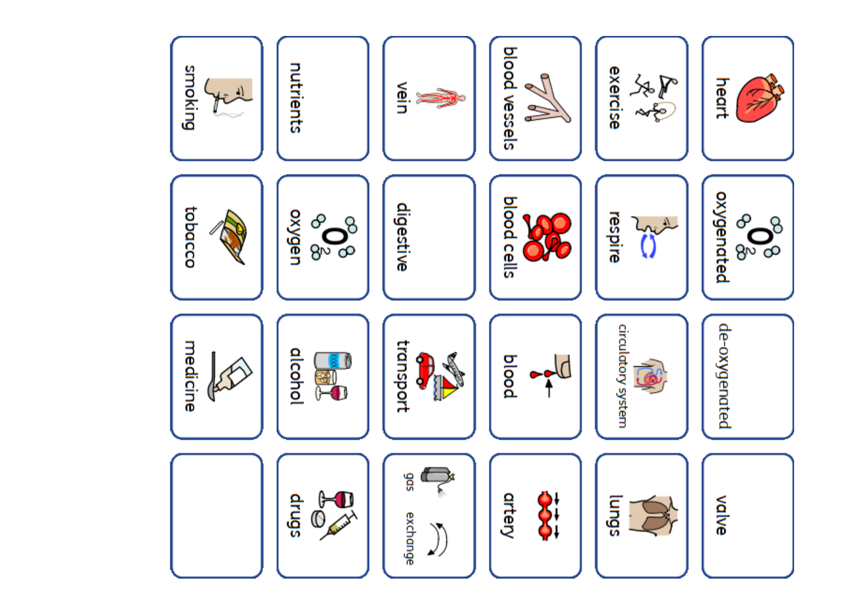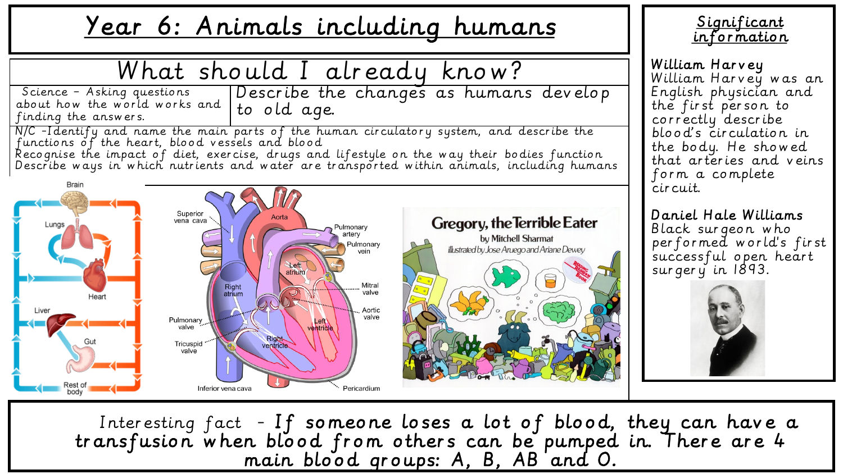## Year 6: Animals including humans



**Significant** information

William Harvey William Harvey was an English physician and the first person to correctly describe blood's circulation in the body. He showed that arteries and veins form a complete circuit.

Daniel Hale Williams Black surgeon who performed world's first successful open heart surgery in 1893.



Interesting fact - If someone loses a lot of blood, they can have a transfusion when blood from others can be pumped in. There are 4 main blood groups: A, B, AB and O.